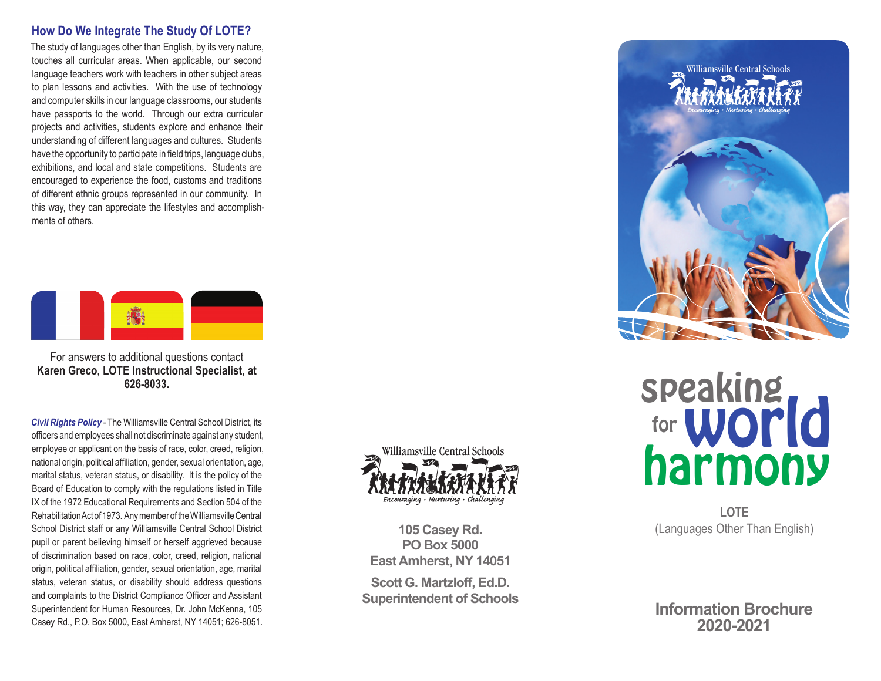### **How Do We Integrate The Study Of LOTE?**

The study of languages other than English, by its very nature, touches all curricular areas. When applicable, our second language teachers work with teachers in other subject areas to plan lessons and activities. With the use of technology and computer skills in our language classrooms, our students have passports to the world. Through our extra curricular projects and activities, students explore and enhance their understanding of different languages and cultures. Students have the opportunity to participate in field trips, language clubs, exhibitions, and local and state competitions. Students are encouraged to experience the food, customs and traditions of different ethnic groups represented in our community. In this way, they can appreciate the lifestyles and accomplishments of others.



For answers to additional questions contact **Karen Greco, LOTE Instructional Specialist, at 626-8033.**

*Civil Rights Policy* - The Williamsville Central School District, its officers and employees shall not discriminate against any student, employee or applicant on the basis of race, color, creed, religion, national origin, political affiliation, gender, sexual orientation, age, marital status, veteran status, or disability. It is the policy of the Board of Education to comply with the regulations listed in Title IX of the 1972 Educational Requirements and Section 504 of the Rehabilitation Act of 1973. Any member of the Williamsville Central School District staff or any Williamsville Central School District pupil or parent believing himself or herself aggrieved because of discrimination based on race, color, creed, religion, national origin, political affiliation, gender, sexual orientation, age, marital status, veteran status, or disability should address questions and complaints to the District Compliance Officer and Assistant Superintendent for Human Resources, Dr. John McKenna, 105 Casey Rd., P.O. Box 5000, East Amherst, NY 14051; 626-8051.



**105 Casey Rd. PO Box 5000 East Amherst, NY 14051**

**Scott G. Martzloff, Ed.D. Superintendent of Schools**



# speaking harmony for **WOrld**

**LOTE** (Languages Other Than English)

**Information Brochure 2020-2021**